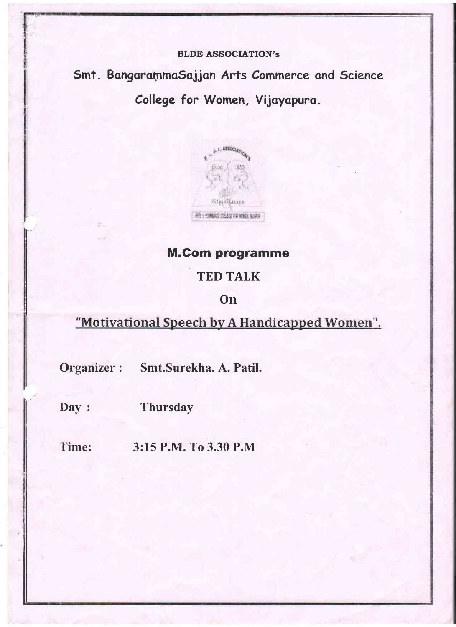## **BLDE ASSOCIATION's**

Smt. BangarammaSajjan Arts Commerce and Science College for Women, Vijayapura.

**D. E. ASSOCIATION Frank Victorian** WITH CONFIDENTIAL POPULATION SUPPLY

# **M.Com programme**

# **TED TALK**

# On

"Motivational Speech by A Handicapped Women".

Organizer : Smt.Surekha. A. Patil.

Day: **Thursday** 

Time: 3:15 P.M. To 3.30 P.M.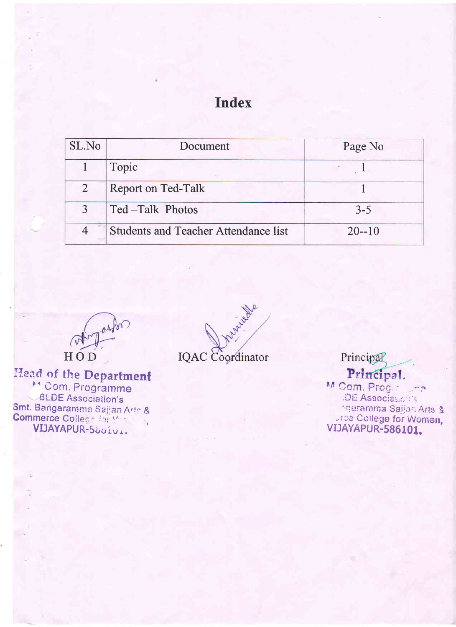# **Index**

| SL.No      | Document                                    | Page No   |
|------------|---------------------------------------------|-----------|
|            | Topic                                       |           |
| $\sqrt{2}$ | Report on Ted-Talk                          |           |
| 3          | Ted-Talk Photos                             | $3 - 5$   |
|            | <b>Students and Teacher Attendance list</b> | $20 - 10$ |

HOD

Head of the Department M. Com. Programme **BLDE** Association's Smt. Bangaramma Sajjan Arte & VIJAYAPUR-500101.

interest **IQAC** Coordinator

Principal Principal. M Com. Prog. : ... DE Associationis ngaramma Saljan Arts & The College for Women,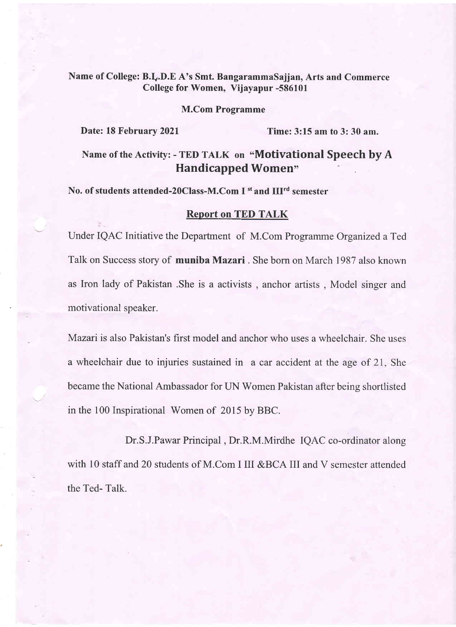## Name of College: B.I.D.E A's Smt. BangarammaSajjan, Arts and Commerce College for Women, Vijayapur -586101

#### M.Com Programme

Date: 18 February 2021 Time: 3:15 am to 3: 30 am.

# Name of the Activity: - TED TALK on "Motivational Speech by A Handicapped Women"

## No. of students attended-20Class-M.Com I <sup>st</sup> and III<sup>rd</sup> semester

#### Report on TED TALK

Under IQAC Initiative the Department of M.Com Programme Organized a Ted Talk on Success story of muniba Mazari. She born on March 1987 also known as Iron lady of Pakistan .She is a activists , anchor artists , Model singer and motivational speaker.

Mazari is also Pakistan's first model and anchor who uses a wheelchair. She uses <sup>a</sup>wheelchair due to injuries sustained in a car accident at the age of 21, She became the National Ambassador for UN Women Pakistan after being shortlisted in the 100 Inspirational Women of 2015 by BBC.

Dr.S.J.Pawar Principal , Dr.R.M.Mirdhe IQAC co-ordinator along with 10 staff and 20 students of M.Com I III &BCA III and V semester attended the Ted- Talk.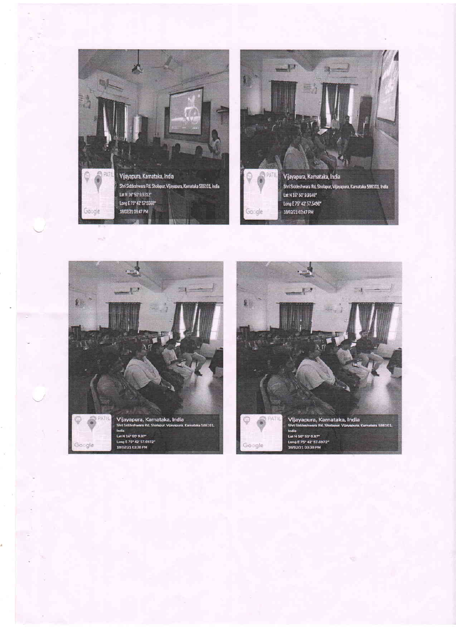



e.b

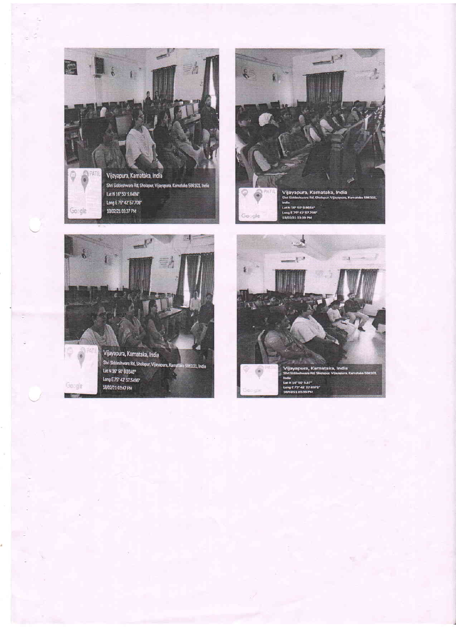





Google

Google

**The State** 

Shri Siddeshwara Rd, Sholopur, Vijayapura, Kamatoks 596101, India Let N 16" 50' 9.9348" Long E 75° 42' 57.5496° 18/02/21 03:47 PM

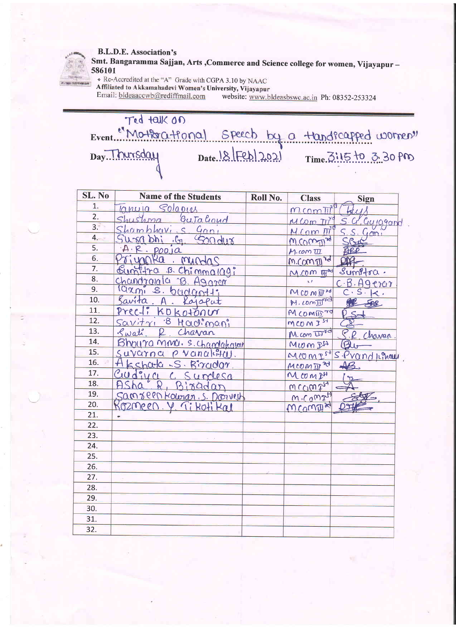#### **B.L.D.E. Association's**



Smt. Bangaramma Sajjan, Arts , Commerce and Science college for women, Vijayapur -586101

\* Re-Accredited at the "A" Grade with CGPA 3.10 by NAAC

Affiliated to Akkamahadevi Women's University, Vijayapur Email: bldeaaccwb@rediffmail.com

website: www.bldeasbswc.ac.in Ph: 08352-253324

| SL. No | <b>Name of the Students</b>              | Roll No. | <b>Class</b>                 | Sign                   |
|--------|------------------------------------------|----------|------------------------------|------------------------|
| 1.     | Solapies<br>lclmula                      |          | $M$ com $\overline{M}$       |                        |
| 2.     | Gutaloud<br>shushma                      |          | $M$ Com $\pi$ <sup>yq</sup>  | S. G. Cuycgand         |
| 3.     | Shambhavis Gani                          |          | M Com M <sup>T</sup>         | $\widetilde{\text{C}}$ |
| 4.     | Sondur<br>$bh$ , $G1$                    |          | M.Compre                     |                        |
| 5.     | A. R.<br>$p_{00}$ ja                     |          | $M$ .com $\overline{111}$    |                        |
| 6.     | Χα<br>mundas                             |          | m.commid                     |                        |
| 7.     | Sumitra B. Chimma109;                    |          | $M$ . $CDM$ $W^{3d}$         | $sumP + \alpha$ .      |
| 8.     | Chandronala B. Agarem                    |          | χú                           | C.B.Aqero              |
| 9.     | larmi s. budantt:                        |          | MCOMEN                       | C. S.<br>k.            |
| 10.    | Savíta<br>Kajaput                        |          | M. comInd                    | FAR                    |
| 11.    | $Prec1$ :<br>KOKOTOOU                    |          | MCOMID70                     |                        |
| 12.    | <u>8 Hadimani</u><br>$Savity + \gamma_1$ |          | MCOM IST                     |                        |
| 13.    | Swati<br>Chavan                          |          | $M.$ com $\overline{W}^{1d}$ | Chavan                 |
| 14.    | Bhoura mma. S. chandakavat               |          | $MLO$ $M24$                  | $\bigcirc$             |
| 15.    | Suvarna<br>$\rho$ vanaleft $\mu$ .       |          | $MCOMP^{54}$                 | SPrandleman            |
| 16.    | Akshata S. Birador.                      |          | MCOMIN 20                    |                        |
| 17.    | Cudiva<br>Surresa                        |          | MCOMIA                       |                        |
| 18.    | Bizadar                                  |          | WCCM2 <sub>74</sub>          |                        |
| 19.    | Samseen Kolonan, S. Donvest              |          | M.G                          |                        |
| 20.    | Kozmeen. Y. Tikotikal                    |          | MComEN                       |                        |
| 21.    |                                          |          |                              |                        |
| 22.    |                                          |          |                              |                        |
| 23.    |                                          |          |                              |                        |
| 24.    |                                          |          |                              |                        |
| 25.    |                                          |          |                              |                        |
| 26.    |                                          |          |                              |                        |
| 27.    |                                          |          |                              |                        |
| 28.    |                                          |          |                              |                        |
| 29.    |                                          |          |                              |                        |
| 30.    |                                          |          |                              |                        |
| 31.    |                                          |          |                              |                        |
| 32.    |                                          |          |                              |                        |